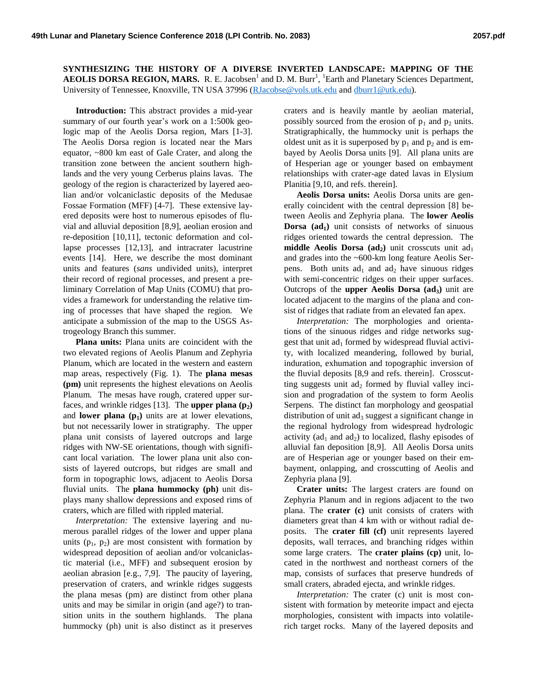**SYNTHESIZING THE HISTORY OF A DIVERSE INVERTED LANDSCAPE: MAPPING OF THE AEOLIS DORSA REGION, MARS.** R. E. Jacobsen<sup>1</sup> and D. M. Burr<sup>1</sup>, <sup>1</sup>Earth and Planetary Sciences Department, University of Tennessee, Knoxville, TN USA 37996 [\(RJacobse@vols.utk.edu](mailto:RJacobse@vols.utk.edu) an[d dburr1@utk.edu\)](mailto:dburr1@utk.edu).

**Introduction:** This abstract provides a mid-year summary of our fourth year's work on a 1:500k geologic map of the Aeolis Dorsa region, Mars [1-3]. The Aeolis Dorsa region is located near the Mars equator, ~800 km east of Gale Crater, and along the transition zone between the ancient southern highlands and the very young Cerberus plains lavas. The geology of the region is characterized by layered aeolian and/or volcaniclastic deposits of the Medusae Fossae Formation (MFF) [4-7]. These extensive layered deposits were host to numerous episodes of fluvial and alluvial deposition [8,9], aeolian erosion and re-deposition [10,11], tectonic deformation and collapse processes [12,13], and intracrater lacustrine events [14]. Here, we describe the most dominant units and features (*sans* undivided units), interpret their record of regional processes, and present a preliminary Correlation of Map Units (COMU) that provides a framework for understanding the relative timing of processes that have shaped the region. We anticipate a submission of the map to the USGS Astrogeology Branch this summer.

**Plana units:** Plana units are coincident with the two elevated regions of Aeolis Planum and Zephyria Planum, which are located in the western and eastern map areas, respectively (Fig. 1). The **plana mesas (pm)** unit represents the highest elevations on Aeolis Planum. The mesas have rough, cratered upper surfaces, and wrinkle ridges [13]. The **upper plana (p2)** and **lower plana**  $(p_1)$  units are at lower elevations, but not necessarily lower in stratigraphy. The upper plana unit consists of layered outcrops and large ridges with NW-SE orientations, though with significant local variation. The lower plana unit also consists of layered outcrops, but ridges are small and form in topographic lows, adjacent to Aeolis Dorsa fluvial units. The **plana hummocky (ph)** unit displays many shallow depressions and exposed rims of craters, which are filled with rippled material.

*Interpretation:* The extensive layering and numerous parallel ridges of the lower and upper plana units  $(p_1, p_2)$  are most consistent with formation by widespread deposition of aeolian and/or volcaniclastic material (i.e., MFF) and subsequent erosion by aeolian abrasion [e.g., 7,9]. The paucity of layering, preservation of craters, and wrinkle ridges suggests the plana mesas (pm) are distinct from other plana units and may be similar in origin (and age?) to transition units in the southern highlands. The plana hummocky (ph) unit is also distinct as it preserves craters and is heavily mantle by aeolian material, possibly sourced from the erosion of  $p_1$  and  $p_2$  units. Stratigraphically, the hummocky unit is perhaps the oldest unit as it is superposed by  $p_1$  and  $p_2$  and is embayed by Aeolis Dorsa units [9]. All plana units are of Hesperian age or younger based on embayment relationships with crater-age dated lavas in Elysium Planitia [9,10, and refs. therein].

**Aeolis Dorsa units:** Aeolis Dorsa units are generally coincident with the central depression [8] between Aeolis and Zephyria plana. The **lower Aeolis Dorsa (ad1)** unit consists of networks of sinuous ridges oriented towards the central depression. The **middle Aeolis Dorsa** ( $ad_2$ ) unit crosscuts unit  $ad_1$ and grades into the ~600-km long feature Aeolis Serpens. Both units  $ad_1$  and  $ad_2$  have sinuous ridges with semi-concentric ridges on their upper surfaces. Outcrops of the **upper Aeolis Dorsa (ad3)** unit are located adjacent to the margins of the plana and consist of ridges that radiate from an elevated fan apex.

*Interpretation:* The morphologies and orientations of the sinuous ridges and ridge networks suggest that unit  $ad_1$  formed by widespread fluvial activity, with localized meandering, followed by burial, induration, exhumation and topographic inversion of the fluvial deposits [8,9 and refs. therein]. Crosscutting suggests unit  $ad_2$  formed by fluvial valley incision and progradation of the system to form Aeolis Serpens. The distinct fan morphology and geospatial distribution of unit  $ad_3$  suggest a significant change in the regional hydrology from widespread hydrologic activity (ad<sub>1</sub> and ad<sub>2</sub>) to localized, flashy episodes of alluvial fan deposition [8,9]. All Aeolis Dorsa units are of Hesperian age or younger based on their embayment, onlapping, and crosscutting of Aeolis and Zephyria plana [9].

**Crater units:** The largest craters are found on Zephyria Planum and in regions adjacent to the two plana. The **crater (c)** unit consists of craters with diameters great than 4 km with or without radial deposits. The **crater fill (cf)** unit represents layered deposits, wall terraces, and branching ridges within some large craters. The **crater plains (cp)** unit, located in the northwest and northeast corners of the map, consists of surfaces that preserve hundreds of small craters, abraded ejecta, and wrinkle ridges.

*Interpretation:* The crater (c) unit is most consistent with formation by meteorite impact and ejecta morphologies, consistent with impacts into volatilerich target rocks. Many of the layered deposits and